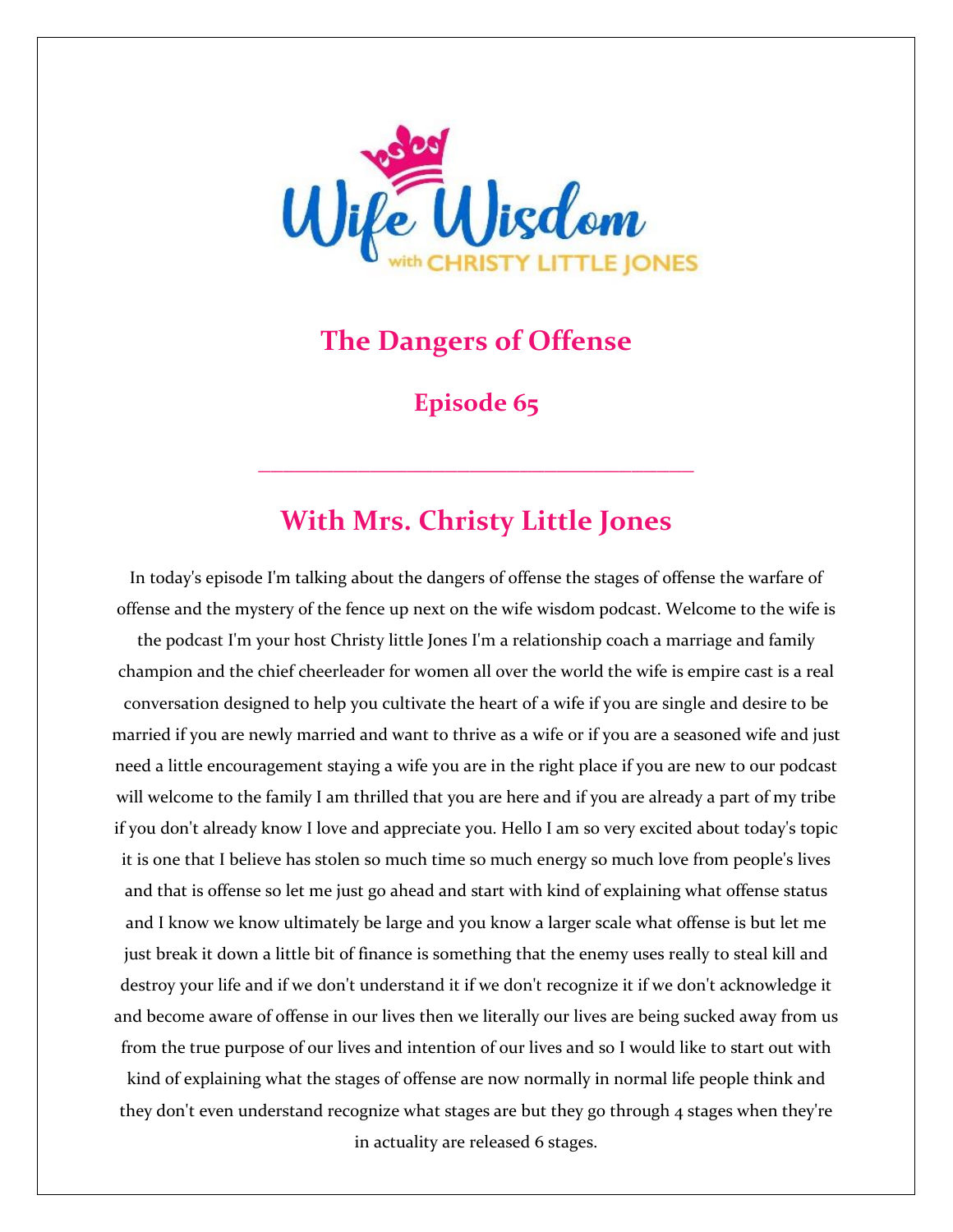

# **The Dangers of Offense**

**Episode 65**

## **With Mrs. Christy Little Jones**

**\_\_\_\_\_\_\_\_\_\_\_\_\_\_\_\_\_\_\_\_\_\_\_\_\_\_\_\_\_\_\_\_\_\_\_**

In today's episode I'm talking about the dangers of offense the stages of offense the warfare of offense and the mystery of the fence up next on the wife wisdom podcast. Welcome to the wife is the podcast I'm your host Christy little Jones I'm a relationship coach a marriage and family champion and the chief cheerleader for women all over the world the wife is empire cast is a real conversation designed to help you cultivate the heart of a wife if you are single and desire to be married if you are newly married and want to thrive as a wife or if you are a seasoned wife and just need a little encouragement staying a wife you are in the right place if you are new to our podcast will welcome to the family I am thrilled that you are here and if you are already a part of my tribe if you don't already know I love and appreciate you. Hello I am so very excited about today's topic it is one that I believe has stolen so much time so much energy so much love from people's lives and that is offense so let me just go ahead and start with kind of explaining what offense status and I know we know ultimately be large and you know a larger scale what offense is but let me just break it down a little bit of finance is something that the enemy uses really to steal kill and destroy your life and if we don't understand it if we don't recognize it if we don't acknowledge it and become aware of offense in our lives then we literally our lives are being sucked away from us from the true purpose of our lives and intention of our lives and so I would like to start out with kind of explaining what the stages of offense are now normally in normal life people think and they don't even understand recognize what stages are but they go through 4 stages when they're in actuality are released 6 stages.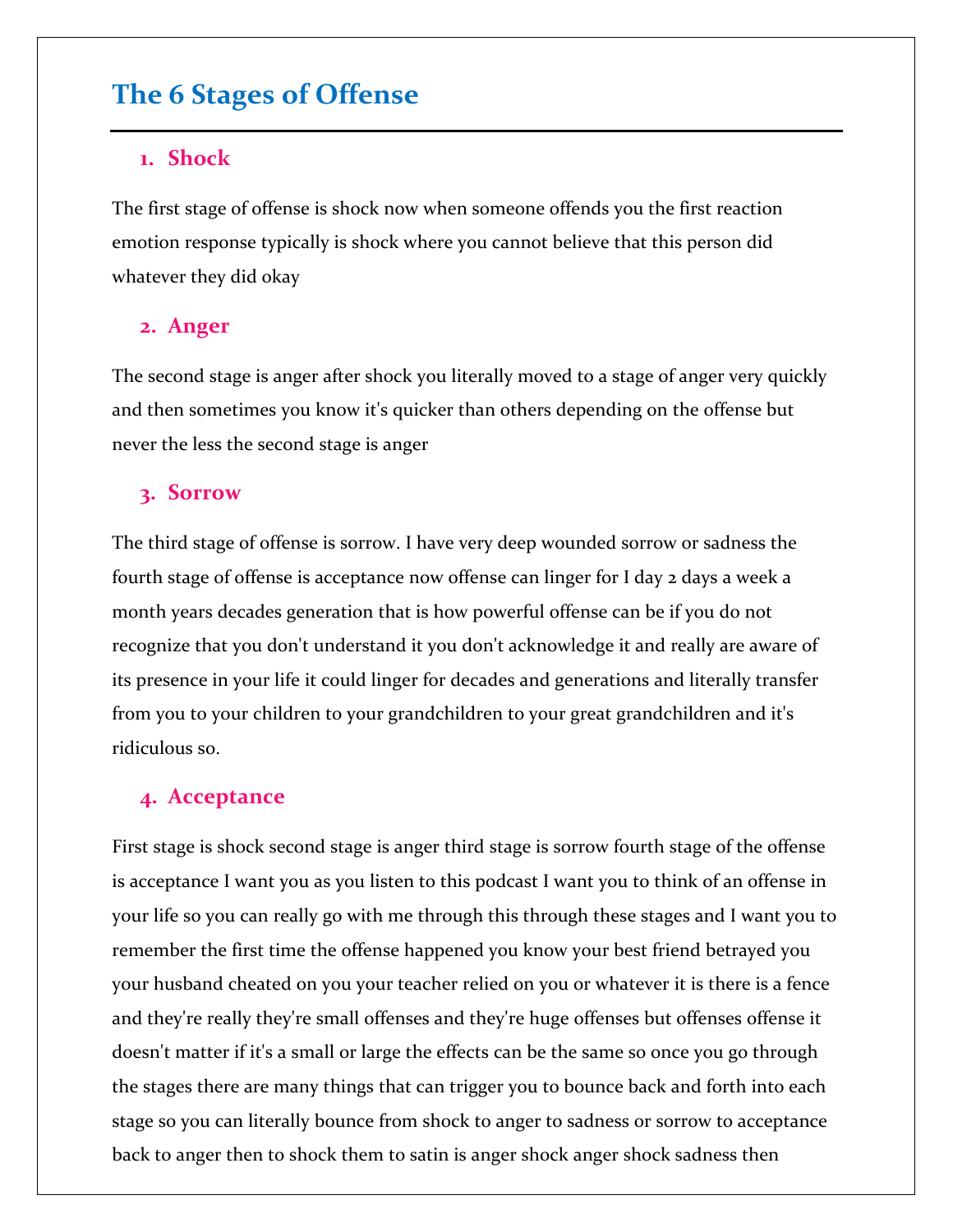# **The 6 Stages of Offense**

#### **1. Shock**

The first stage of offense is shock now when someone offends you the first reaction emotion response typically is shock where you cannot believe that this person did whatever they did okay

#### **2. Anger**

The second stage is anger after shock you literally moved to a stage of anger very quickly and then sometimes you know it's quicker than others depending on the offense but never the less the second stage is anger

#### **3. Sorrow**

The third stage of offense is sorrow. I have very deep wounded sorrow or sadness the fourth stage of offense is acceptance now offense can linger for I day 2 days a week a month years decades generation that is how powerful offense can be if you do not recognize that you don't understand it you don't acknowledge it and really are aware of its presence in your life it could linger for decades and generations and literally transfer from you to your children to your grandchildren to your great grandchildren and it's ridiculous so.

#### **4. Acceptance**

First stage is shock second stage is anger third stage is sorrow fourth stage of the offense is acceptance I want you as you listen to this podcast I want you to think of an offense in your life so you can really go with me through this through these stages and I want you to remember the first time the offense happened you know your best friend betrayed you your husband cheated on you your teacher relied on you or whatever it is there is a fence and they're really they're small offenses and they're huge offenses but offenses offense it doesn't matter if it's a small or large the effects can be the same so once you go through the stages there are many things that can trigger you to bounce back and forth into each stage so you can literally bounce from shock to anger to sadness or sorrow to acceptance back to anger then to shock them to satin is anger shock anger shock sadness then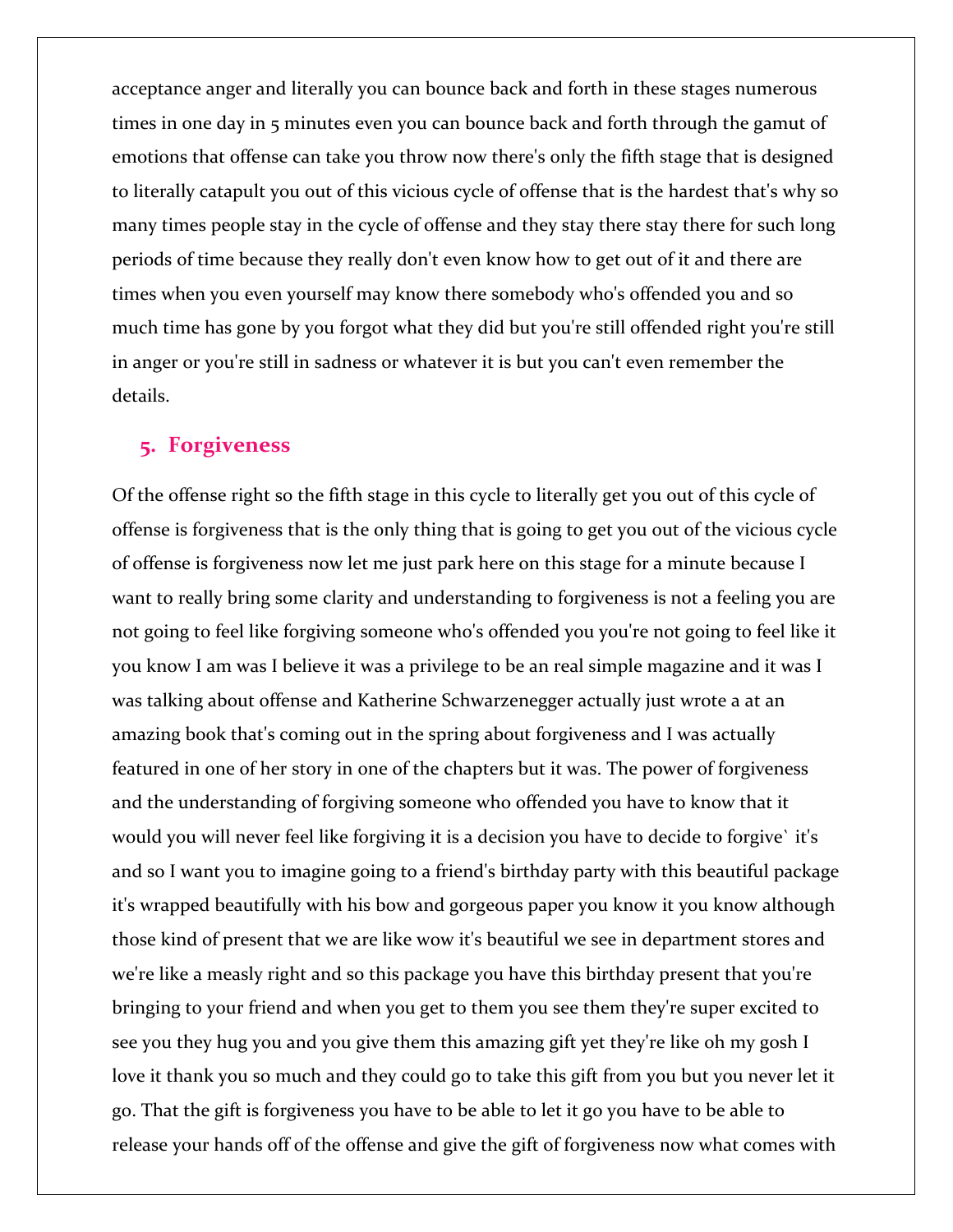acceptance anger and literally you can bounce back and forth in these stages numerous times in one day in 5 minutes even you can bounce back and forth through the gamut of emotions that offense can take you throw now there's only the fifth stage that is designed to literally catapult you out of this vicious cycle of offense that is the hardest that's why so many times people stay in the cycle of offense and they stay there stay there for such long periods of time because they really don't even know how to get out of it and there are times when you even yourself may know there somebody who's offended you and so much time has gone by you forgot what they did but you're still offended right you're still in anger or you're still in sadness or whatever it is but you can't even remember the details.

#### **5. Forgiveness**

Of the offense right so the fifth stage in this cycle to literally get you out of this cycle of offense is forgiveness that is the only thing that is going to get you out of the vicious cycle of offense is forgiveness now let me just park here on this stage for a minute because I want to really bring some clarity and understanding to forgiveness is not a feeling you are not going to feel like forgiving someone who's offended you you're not going to feel like it you know I am was I believe it was a privilege to be an real simple magazine and it was I was talking about offense and Katherine Schwarzenegger actually just wrote a at an amazing book that's coming out in the spring about forgiveness and I was actually featured in one of her story in one of the chapters but it was. The power of forgiveness and the understanding of forgiving someone who offended you have to know that it would you will never feel like forgiving it is a decision you have to decide to forgive` it's and so I want you to imagine going to a friend's birthday party with this beautiful package it's wrapped beautifully with his bow and gorgeous paper you know it you know although those kind of present that we are like wow it's beautiful we see in department stores and we're like a measly right and so this package you have this birthday present that you're bringing to your friend and when you get to them you see them they're super excited to see you they hug you and you give them this amazing gift yet they're like oh my gosh I love it thank you so much and they could go to take this gift from you but you never let it go. That the gift is forgiveness you have to be able to let it go you have to be able to release your hands off of the offense and give the gift of forgiveness now what comes with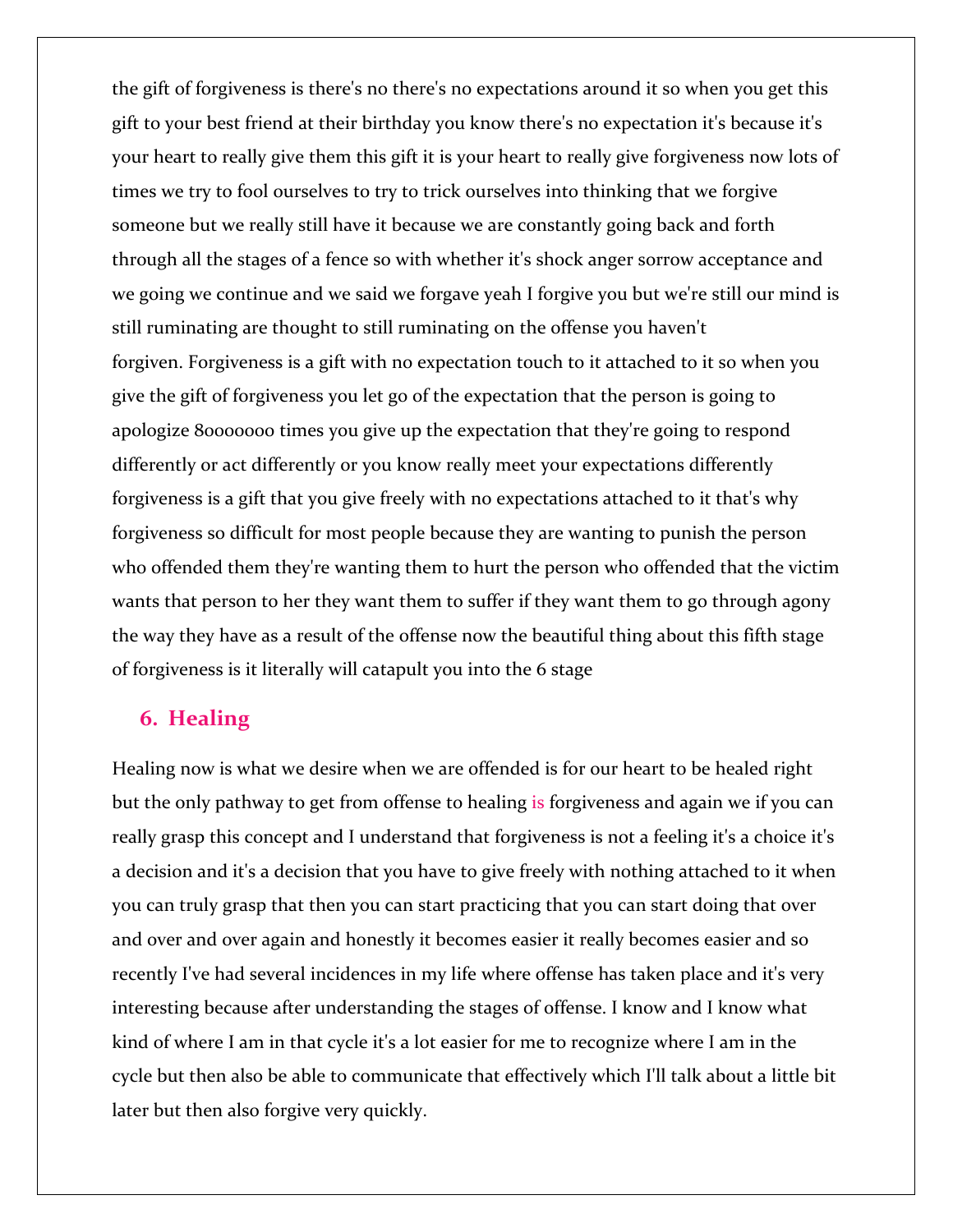the gift of forgiveness is there's no there's no expectations around it so when you get this gift to your best friend at their birthday you know there's no expectation it's because it's your heart to really give them this gift it is your heart to really give forgiveness now lots of times we try to fool ourselves to try to trick ourselves into thinking that we forgive someone but we really still have it because we are constantly going back and forth through all the stages of a fence so with whether it's shock anger sorrow acceptance and we going we continue and we said we forgave yeah I forgive you but we're still our mind is still ruminating are thought to still ruminating on the offense you haven't forgiven. Forgiveness is a gift with no expectation touch to it attached to it so when you give the gift of forgiveness you let go of the expectation that the person is going to apologize 80000000 times you give up the expectation that they're going to respond differently or act differently or you know really meet your expectations differently forgiveness is a gift that you give freely with no expectations attached to it that's why forgiveness so difficult for most people because they are wanting to punish the person who offended them they're wanting them to hurt the person who offended that the victim wants that person to her they want them to suffer if they want them to go through agony the way they have as a result of the offense now the beautiful thing about this fifth stage of forgiveness is it literally will catapult you into the 6 stage

#### **6. Healing**

Healing now is what we desire when we are offended is for our heart to be healed right but the only pathway to get from offense to healing is forgiveness and again we if you can really grasp this concept and I understand that forgiveness is not a feeling it's a choice it's a decision and it's a decision that you have to give freely with nothing attached to it when you can truly grasp that then you can start practicing that you can start doing that over and over and over again and honestly it becomes easier it really becomes easier and so recently I've had several incidences in my life where offense has taken place and it's very interesting because after understanding the stages of offense. I know and I know what kind of where I am in that cycle it's a lot easier for me to recognize where I am in the cycle but then also be able to communicate that effectively which I'll talk about a little bit later but then also forgive very quickly.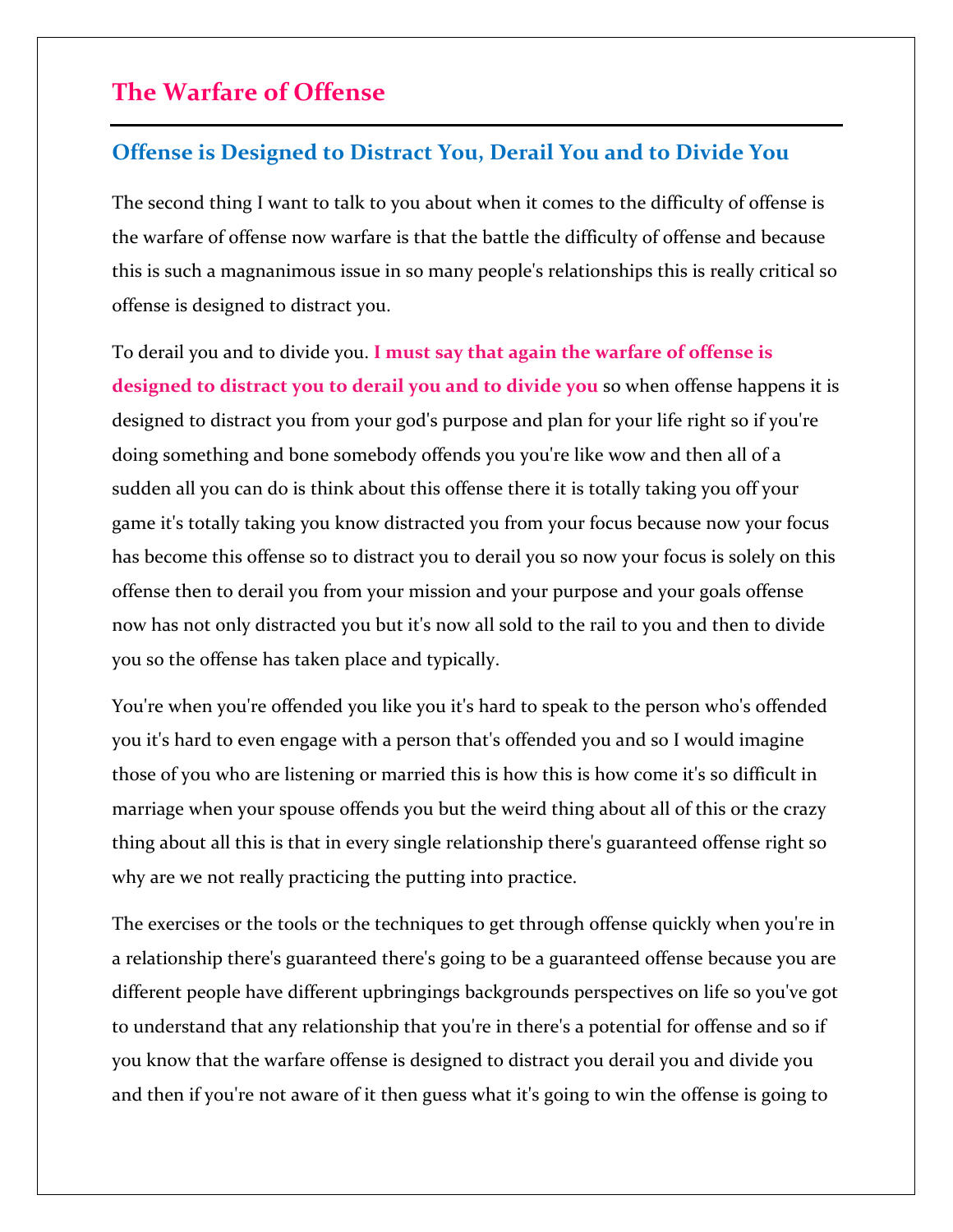## **The Warfare of Offense**

### **Offense is Designed to Distract You, Derail You and to Divide You**

The second thing I want to talk to you about when it comes to the difficulty of offense is the warfare of offense now warfare is that the battle the difficulty of offense and because this is such a magnanimous issue in so many people's relationships this is really critical so offense is designed to distract you.

To derail you and to divide you. **I must say that again the warfare of offense is designed to distract you to derail you and to divide you** so when offense happens it is designed to distract you from your god's purpose and plan for your life right so if you're doing something and bone somebody offends you you're like wow and then all of a sudden all you can do is think about this offense there it is totally taking you off your game it's totally taking you know distracted you from your focus because now your focus has become this offense so to distract you to derail you so now your focus is solely on this offense then to derail you from your mission and your purpose and your goals offense now has not only distracted you but it's now all sold to the rail to you and then to divide you so the offense has taken place and typically.

You're when you're offended you like you it's hard to speak to the person who's offended you it's hard to even engage with a person that's offended you and so I would imagine those of you who are listening or married this is how this is how come it's so difficult in marriage when your spouse offends you but the weird thing about all of this or the crazy thing about all this is that in every single relationship there's guaranteed offense right so why are we not really practicing the putting into practice.

The exercises or the tools or the techniques to get through offense quickly when you're in a relationship there's guaranteed there's going to be a guaranteed offense because you are different people have different upbringings backgrounds perspectives on life so you've got to understand that any relationship that you're in there's a potential for offense and so if you know that the warfare offense is designed to distract you derail you and divide you and then if you're not aware of it then guess what it's going to win the offense is going to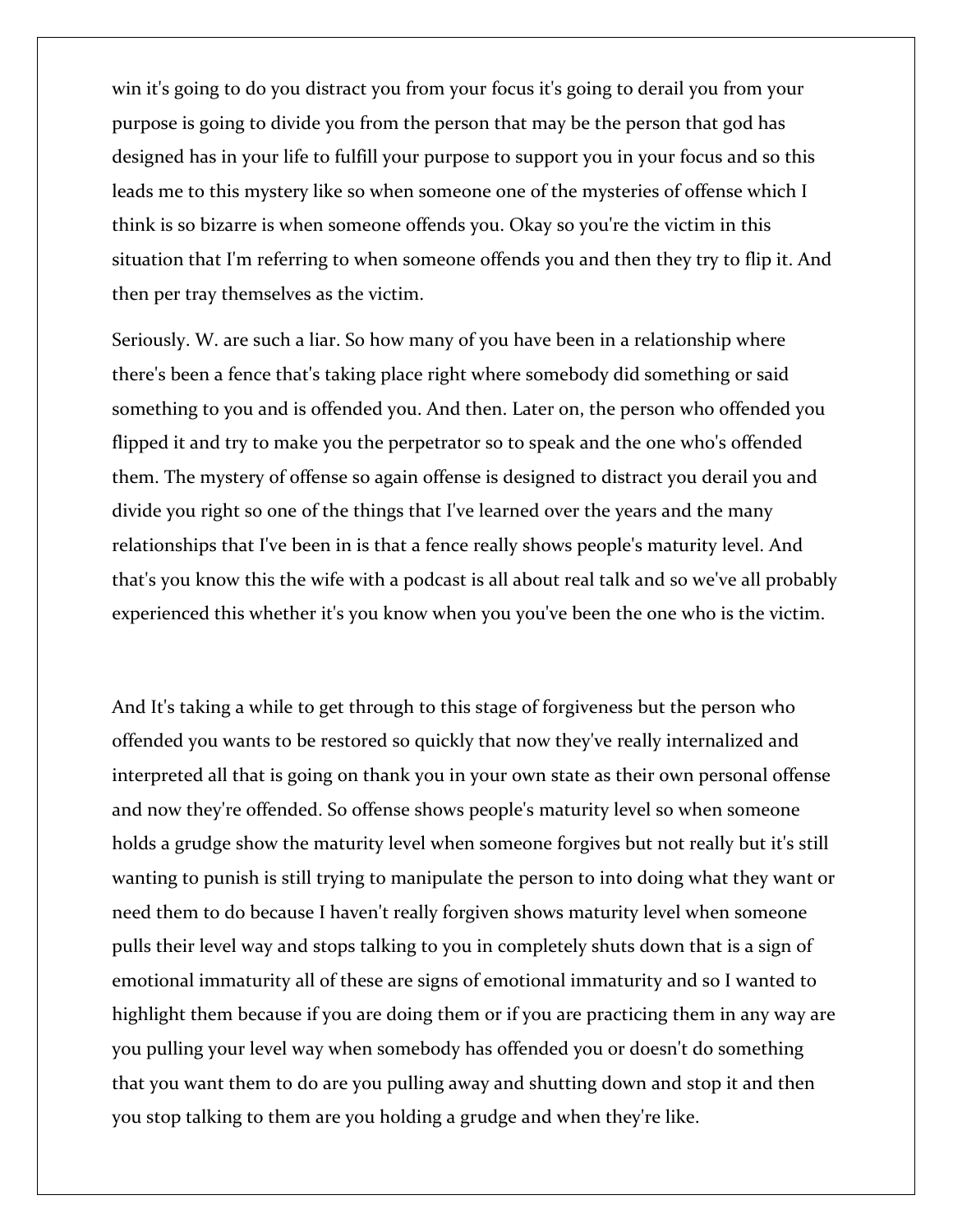win it's going to do you distract you from your focus it's going to derail you from your purpose is going to divide you from the person that may be the person that god has designed has in your life to fulfill your purpose to support you in your focus and so this leads me to this mystery like so when someone one of the mysteries of offense which I think is so bizarre is when someone offends you. Okay so you're the victim in this situation that I'm referring to when someone offends you and then they try to flip it. And then per tray themselves as the victim.

Seriously. W. are such a liar. So how many of you have been in a relationship where there's been a fence that's taking place right where somebody did something or said something to you and is offended you. And then. Later on, the person who offended you flipped it and try to make you the perpetrator so to speak and the one who's offended them. The mystery of offense so again offense is designed to distract you derail you and divide you right so one of the things that I've learned over the years and the many relationships that I've been in is that a fence really shows people's maturity level. And that's you know this the wife with a podcast is all about real talk and so we've all probably experienced this whether it's you know when you you've been the one who is the victim.

And It's taking a while to get through to this stage of forgiveness but the person who offended you wants to be restored so quickly that now they've really internalized and interpreted all that is going on thank you in your own state as their own personal offense and now they're offended. So offense shows people's maturity level so when someone holds a grudge show the maturity level when someone forgives but not really but it's still wanting to punish is still trying to manipulate the person to into doing what they want or need them to do because I haven't really forgiven shows maturity level when someone pulls their level way and stops talking to you in completely shuts down that is a sign of emotional immaturity all of these are signs of emotional immaturity and so I wanted to highlight them because if you are doing them or if you are practicing them in any way are you pulling your level way when somebody has offended you or doesn't do something that you want them to do are you pulling away and shutting down and stop it and then you stop talking to them are you holding a grudge and when they're like.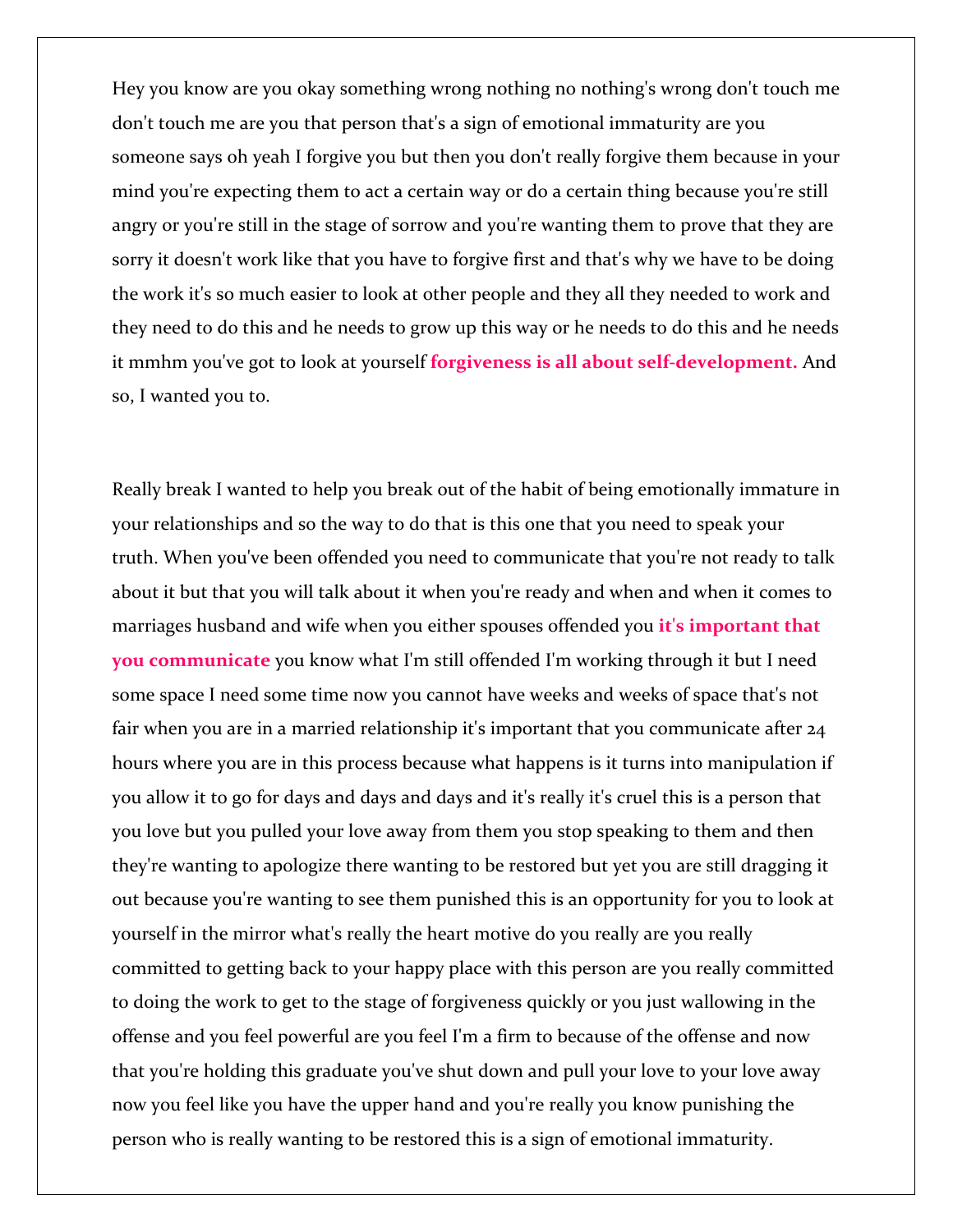Hey you know are you okay something wrong nothing no nothing's wrong don't touch me don't touch me are you that person that's a sign of emotional immaturity are you someone says oh yeah I forgive you but then you don't really forgive them because in your mind you're expecting them to act a certain way or do a certain thing because you're still angry or you're still in the stage of sorrow and you're wanting them to prove that they are sorry it doesn't work like that you have to forgive first and that's why we have to be doing the work it's so much easier to look at other people and they all they needed to work and they need to do this and he needs to grow up this way or he needs to do this and he needs it mmhm you've got to look at yourself **forgiveness is all about self-development.** And so, I wanted you to.

Really break I wanted to help you break out of the habit of being emotionally immature in your relationships and so the way to do that is this one that you need to speak your truth. When you've been offended you need to communicate that you're not ready to talk about it but that you will talk about it when you're ready and when and when it comes to marriages husband and wife when you either spouses offended you **it's important that you communicate** you know what I'm still offended I'm working through it but I need some space I need some time now you cannot have weeks and weeks of space that's not fair when you are in a married relationship it's important that you communicate after 24 hours where you are in this process because what happens is it turns into manipulation if you allow it to go for days and days and days and it's really it's cruel this is a person that you love but you pulled your love away from them you stop speaking to them and then they're wanting to apologize there wanting to be restored but yet you are still dragging it out because you're wanting to see them punished this is an opportunity for you to look at yourself in the mirror what's really the heart motive do you really are you really committed to getting back to your happy place with this person are you really committed to doing the work to get to the stage of forgiveness quickly or you just wallowing in the offense and you feel powerful are you feel I'm a firm to because of the offense and now that you're holding this graduate you've shut down and pull your love to your love away now you feel like you have the upper hand and you're really you know punishing the person who is really wanting to be restored this is a sign of emotional immaturity.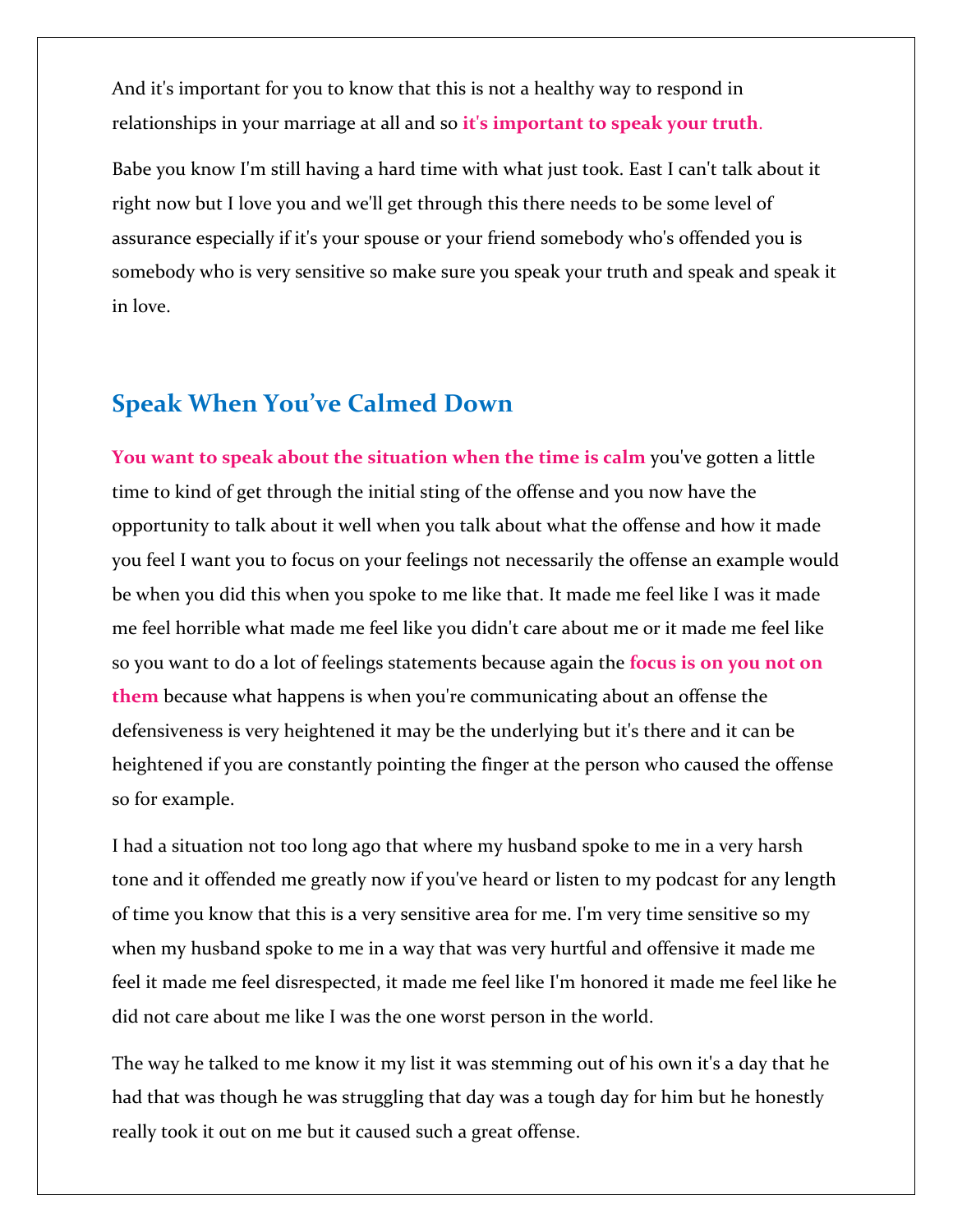And it's important for you to know that this is not a healthy way to respond in relationships in your marriage at all and so **it's important to speak your truth**.

Babe you know I'm still having a hard time with what just took. East I can't talk about it right now but I love you and we'll get through this there needs to be some level of assurance especially if it's your spouse or your friend somebody who's offended you is somebody who is very sensitive so make sure you speak your truth and speak and speak it in love.

### **Speak When You've Calmed Down**

**You want to speak about the situation when the time is calm** you've gotten a little time to kind of get through the initial sting of the offense and you now have the opportunity to talk about it well when you talk about what the offense and how it made you feel I want you to focus on your feelings not necessarily the offense an example would be when you did this when you spoke to me like that. It made me feel like I was it made me feel horrible what made me feel like you didn't care about me or it made me feel like so you want to do a lot of feelings statements because again the **focus is on you not on them** because what happens is when you're communicating about an offense the defensiveness is very heightened it may be the underlying but it's there and it can be heightened if you are constantly pointing the finger at the person who caused the offense so for example.

I had a situation not too long ago that where my husband spoke to me in a very harsh tone and it offended me greatly now if you've heard or listen to my podcast for any length of time you know that this is a very sensitive area for me. I'm very time sensitive so my when my husband spoke to me in a way that was very hurtful and offensive it made me feel it made me feel disrespected, it made me feel like I'm honored it made me feel like he did not care about me like I was the one worst person in the world.

The way he talked to me know it my list it was stemming out of his own it's a day that he had that was though he was struggling that day was a tough day for him but he honestly really took it out on me but it caused such a great offense.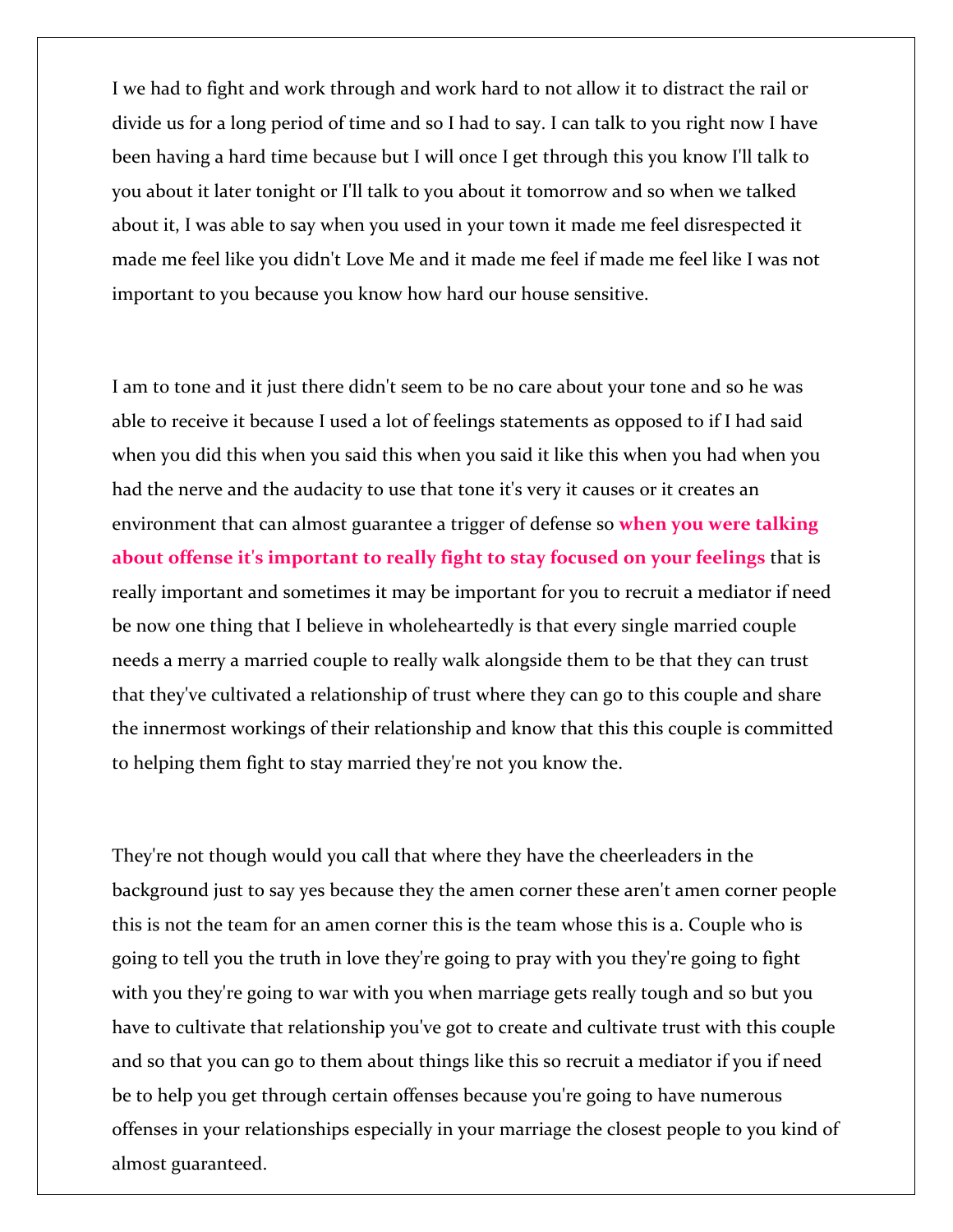I we had to fight and work through and work hard to not allow it to distract the rail or divide us for a long period of time and so I had to say. I can talk to you right now I have been having a hard time because but I will once I get through this you know I'll talk to you about it later tonight or I'll talk to you about it tomorrow and so when we talked about it, I was able to say when you used in your town it made me feel disrespected it made me feel like you didn't Love Me and it made me feel if made me feel like I was not important to you because you know how hard our house sensitive.

I am to tone and it just there didn't seem to be no care about your tone and so he was able to receive it because I used a lot of feelings statements as opposed to if I had said when you did this when you said this when you said it like this when you had when you had the nerve and the audacity to use that tone it's very it causes or it creates an environment that can almost guarantee a trigger of defense so **when you were talking about offense it's important to really fight to stay focused on your feelings** that is really important and sometimes it may be important for you to recruit a mediator if need be now one thing that I believe in wholeheartedly is that every single married couple needs a merry a married couple to really walk alongside them to be that they can trust that they've cultivated a relationship of trust where they can go to this couple and share the innermost workings of their relationship and know that this this couple is committed to helping them fight to stay married they're not you know the.

They're not though would you call that where they have the cheerleaders in the background just to say yes because they the amen corner these aren't amen corner people this is not the team for an amen corner this is the team whose this is a. Couple who is going to tell you the truth in love they're going to pray with you they're going to fight with you they're going to war with you when marriage gets really tough and so but you have to cultivate that relationship you've got to create and cultivate trust with this couple and so that you can go to them about things like this so recruit a mediator if you if need be to help you get through certain offenses because you're going to have numerous offenses in your relationships especially in your marriage the closest people to you kind of almost guaranteed.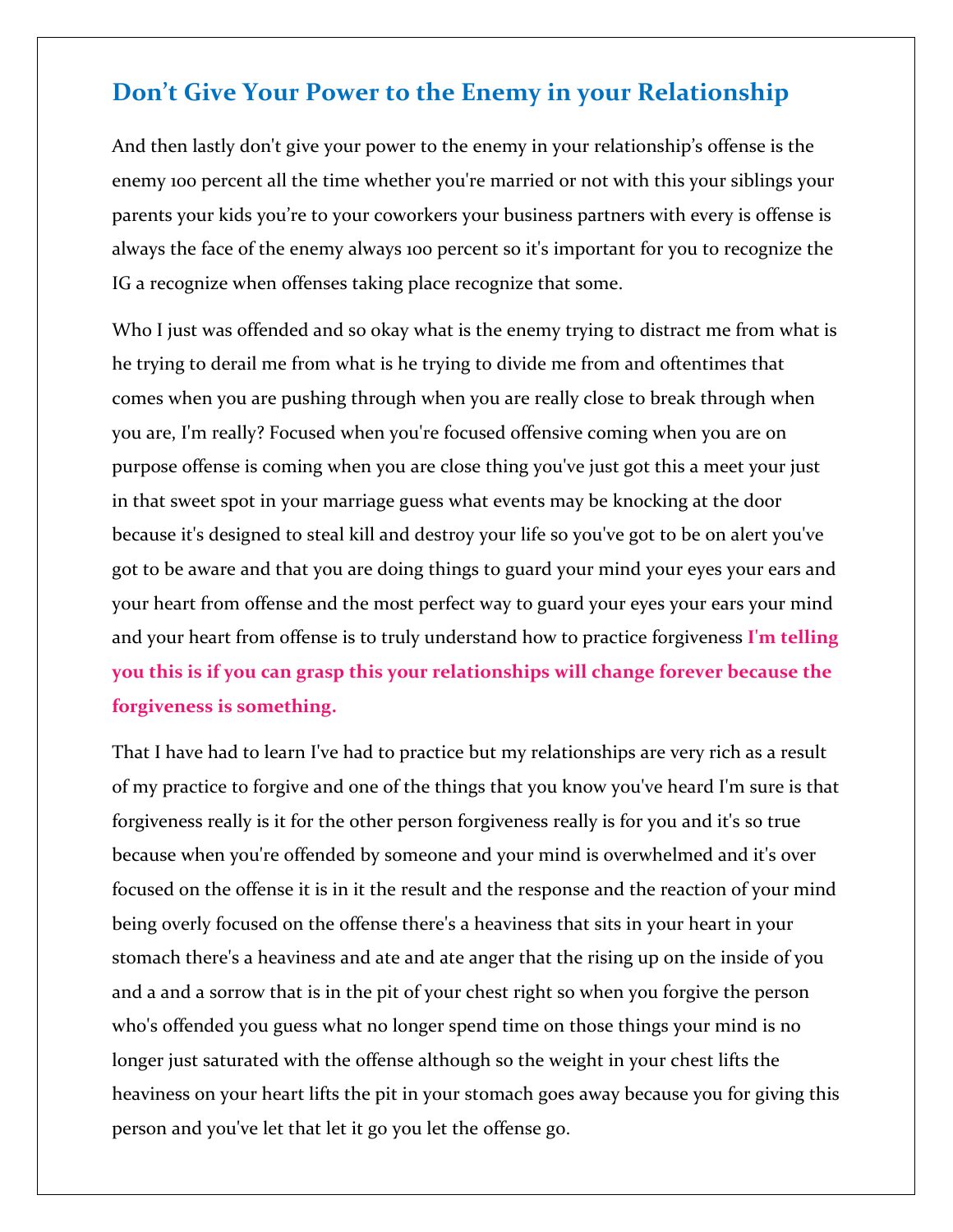## **Don't Give Your Power to the Enemy in your Relationship**

And then lastly don't give your power to the enemy in your relationship's offense is the enemy 100 percent all the time whether you're married or not with this your siblings your parents your kids you're to your coworkers your business partners with every is offense is always the face of the enemy always 100 percent so it's important for you to recognize the IG a recognize when offenses taking place recognize that some.

Who I just was offended and so okay what is the enemy trying to distract me from what is he trying to derail me from what is he trying to divide me from and oftentimes that comes when you are pushing through when you are really close to break through when you are, I'm really? Focused when you're focused offensive coming when you are on purpose offense is coming when you are close thing you've just got this a meet your just in that sweet spot in your marriage guess what events may be knocking at the door because it's designed to steal kill and destroy your life so you've got to be on alert you've got to be aware and that you are doing things to guard your mind your eyes your ears and your heart from offense and the most perfect way to guard your eyes your ears your mind and your heart from offense is to truly understand how to practice forgiveness **I'm telling you this is if you can grasp this your relationships will change forever because the forgiveness is something.**

That I have had to learn I've had to practice but my relationships are very rich as a result of my practice to forgive and one of the things that you know you've heard I'm sure is that forgiveness really is it for the other person forgiveness really is for you and it's so true because when you're offended by someone and your mind is overwhelmed and it's over focused on the offense it is in it the result and the response and the reaction of your mind being overly focused on the offense there's a heaviness that sits in your heart in your stomach there's a heaviness and ate and ate anger that the rising up on the inside of you and a and a sorrow that is in the pit of your chest right so when you forgive the person who's offended you guess what no longer spend time on those things your mind is no longer just saturated with the offense although so the weight in your chest lifts the heaviness on your heart lifts the pit in your stomach goes away because you for giving this person and you've let that let it go you let the offense go.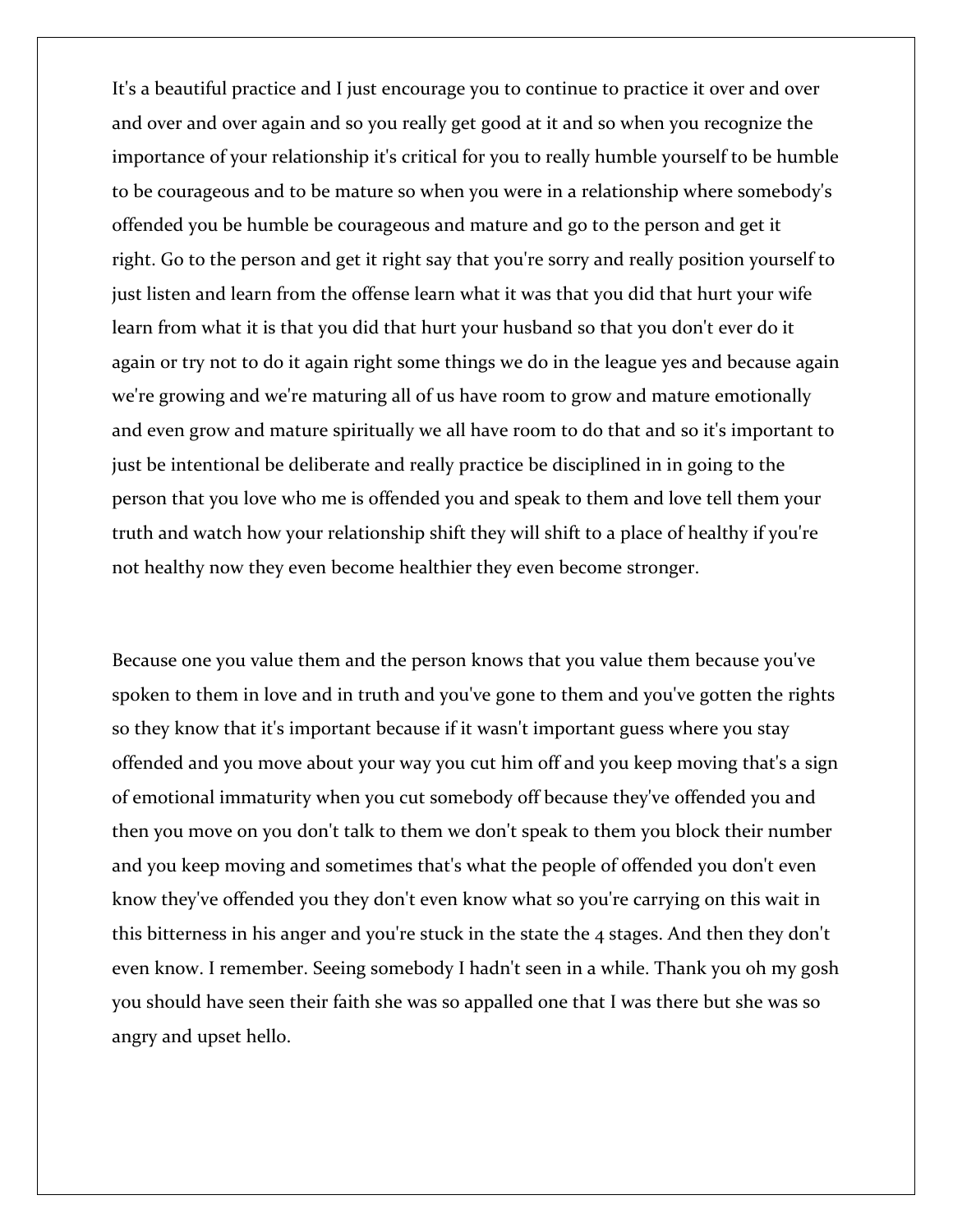It's a beautiful practice and I just encourage you to continue to practice it over and over and over and over again and so you really get good at it and so when you recognize the importance of your relationship it's critical for you to really humble yourself to be humble to be courageous and to be mature so when you were in a relationship where somebody's offended you be humble be courageous and mature and go to the person and get it right. Go to the person and get it right say that you're sorry and really position yourself to just listen and learn from the offense learn what it was that you did that hurt your wife learn from what it is that you did that hurt your husband so that you don't ever do it again or try not to do it again right some things we do in the league yes and because again we're growing and we're maturing all of us have room to grow and mature emotionally and even grow and mature spiritually we all have room to do that and so it's important to just be intentional be deliberate and really practice be disciplined in in going to the person that you love who me is offended you and speak to them and love tell them your truth and watch how your relationship shift they will shift to a place of healthy if you're not healthy now they even become healthier they even become stronger.

Because one you value them and the person knows that you value them because you've spoken to them in love and in truth and you've gone to them and you've gotten the rights so they know that it's important because if it wasn't important guess where you stay offended and you move about your way you cut him off and you keep moving that's a sign of emotional immaturity when you cut somebody off because they've offended you and then you move on you don't talk to them we don't speak to them you block their number and you keep moving and sometimes that's what the people of offended you don't even know they've offended you they don't even know what so you're carrying on this wait in this bitterness in his anger and you're stuck in the state the 4 stages. And then they don't even know. I remember. Seeing somebody I hadn't seen in a while. Thank you oh my gosh you should have seen their faith she was so appalled one that I was there but she was so angry and upset hello.